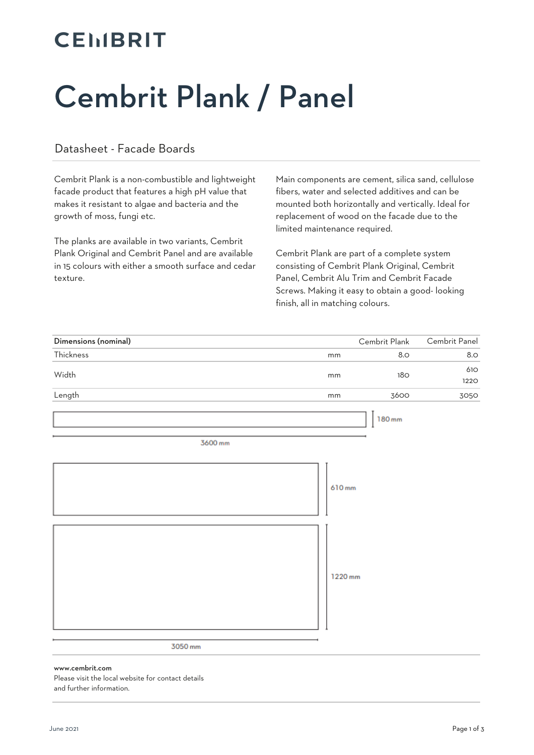## **CEMBRIT**

# Cembrit Plank / Panel

### Datasheet - Facade Boards

Cembrit Plank is a non-combustible and lightweight facade product that features a high pH value that makes it resistant to algae and bacteria and the growth of moss, fungi etc.

The planks are available in two variants, Cembrit Plank Original and Cembrit Panel and are available in 15 colours with either a smooth surface and cedar texture.

Main components are cement, silica sand, cellulose fibers, water and selected additives and can be mounted both horizontally and vertically. Ideal for replacement of wood on the facade due to the limited maintenance required.

Cembrit Plank are part of a complete system consisting of Cembrit Plank Original, Cembrit Panel, Cembrit Alu Trim and Cembrit Facade Screws. Making it easy to obtain a good- looking finish, all in matching colours.



### www.cembrit.com

Please visit the local website for contact details and further information.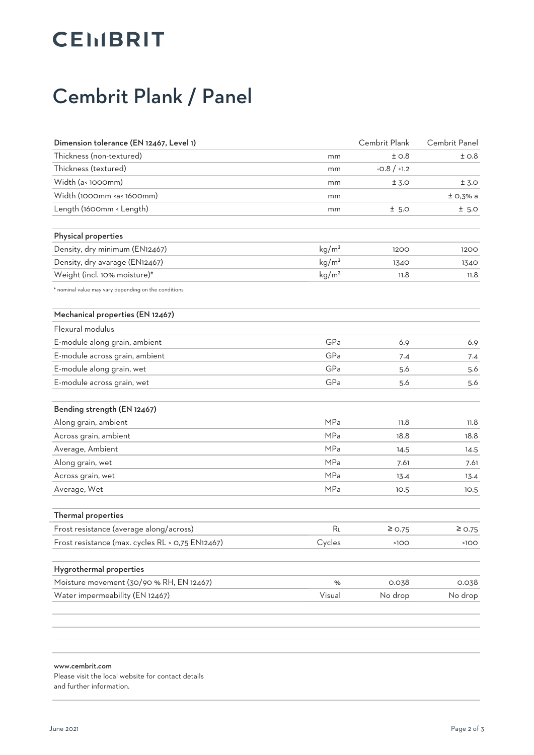## Cembrit Plank / Panel

| Dimension tolerance (EN 12467, Level 1)                                                     |                   | Cembrit Plank | Cembrit Panel |
|---------------------------------------------------------------------------------------------|-------------------|---------------|---------------|
| Thickness (non-textured)                                                                    | mm                | ±0.8          | ± 0.8         |
| Thickness (textured)                                                                        | mm                | $-0.8 / +1.2$ |               |
| Width (a<1000mm)                                                                            | mm                | ± 3.0         | ± 3.0         |
| Width (1000mm <a< 1600mm)<="" td=""><td>mm</td><td></td><td><math>±</math> O,3% a</td></a<> | mm                |               | $±$ O,3% a    |
| Length (1600mm < Length)                                                                    | mm                | ± 5.0         | ± 5.0         |
| Physical properties                                                                         |                   |               |               |
| Density, dry minimum (EN12467)                                                              | kg/m <sup>3</sup> | 1200          | 1200          |
| Density, dry avarage (EN12467)                                                              | kg/m <sup>3</sup> | 1340          | 1340          |
| Weight (incl. 10% moisture)*                                                                | kg/m <sup>2</sup> | 11.8          | 11.8          |
| * nominal value may vary depending on the conditions                                        |                   |               |               |
| Mechanical properties (EN 12467)                                                            |                   |               |               |
| Flexural modulus                                                                            |                   |               |               |
| E-module along grain, ambient                                                               | GPa               | 6.9           | 6.9           |
| E-module across grain, ambient                                                              | GPa               | 7.4           | 7.4           |
| E-module along grain, wet                                                                   | GPa               | 5.6           | 5.6           |
| E-module across grain, wet                                                                  | GPa               | 5.6           | 5.6           |
| Bending strength (EN 12467)                                                                 |                   |               |               |
| Along grain, ambient                                                                        | MPa               | 11.8          | 11.8          |
| Across grain, ambient                                                                       | MPa               | 18.8          | 18.8          |
| Average, Ambient                                                                            | MPa               | 14.5          | 14.5          |
| Along grain, wet                                                                            | MPa               | 7.61          | 7.61          |
| Across grain, wet                                                                           | MPa               | 13.4          | 13.4          |
| Average, Wet                                                                                | <b>MPa</b>        | 10.5          | 10.5          |
| Thermal properties                                                                          |                   |               |               |
| Frost resistance (average along/across)                                                     | R <sub>L</sub>    | $\geq$ 0.75   | $\geq$ 0.75   |
| Frost resistance (max. cycles RL > 0,75 EN12467)                                            | Cycles            | >100          | >100          |
| Hygrothermal properties                                                                     |                   |               |               |
| Moisture movement (30/90 % RH, EN 12467)                                                    | %                 | 0.038         | 0.038         |
| Water impermeability (EN 12467)                                                             | Visual            | No drop       | No drop       |
|                                                                                             |                   |               |               |

### www.cembrit.com

Please visit the local website for contact details and further information.